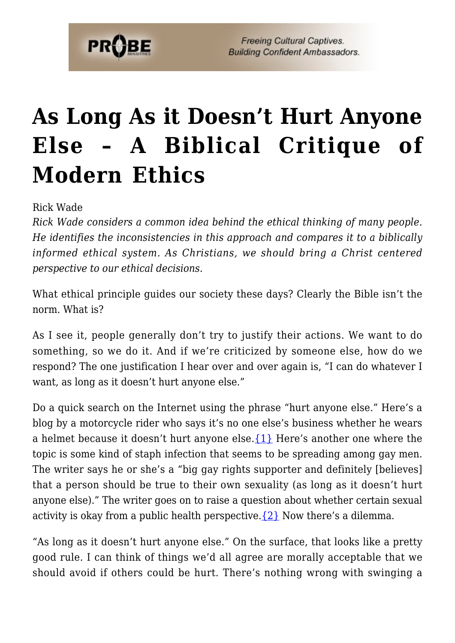

**Freeing Cultural Captives. Building Confident Ambassadors.** 

## **[As Long As it Doesn't Hurt Anyone](https://probe.org/as-long-as-it-doesnt-hurt-anyone-else/) [Else – A Biblical Critique of](https://probe.org/as-long-as-it-doesnt-hurt-anyone-else/) [Modern Ethics](https://probe.org/as-long-as-it-doesnt-hurt-anyone-else/)**

Rick Wade

*Rick Wade considers a common idea behind the ethical thinking of many people. He identifies the inconsistencies in this approach and compares it to a biblically informed ethical system. As Christians, we should bring a Christ centered perspective to our ethical decisions.*

What ethical principle guides our society these days? Clearly the Bible isn't the norm. What is?

As I see it, people generally don't try to justify their actions. We want to do something, so we do it. And if we're criticized by someone else, how do we respond? The one justification I hear over and over again is, "I can do whatever I want, as long as it doesn't hurt anyone else."

Do a quick search on the Internet using the phrase "hurt anyone else." Here's a blog by a motorcycle rider who says it's no one else's business whether he wears a helmet because it doesn't hurt anyone else.[{1}](#page-4-0) Here's another one where the topic is some kind of staph infection that seems to be spreading among gay men. The writer says he or she's a "big gay rights supporter and definitely [believes] that a person should be true to their own sexuality (as long as it doesn't hurt anyone else)." The writer goes on to raise a question about whether certain sexual activity is okay from a public health perspective.  $\{2\}$  Now there's a dilemma.

"As long as it doesn't hurt anyone else." On the surface, that looks like a pretty good rule. I can think of things we'd all agree are morally acceptable that we should avoid if others could be hurt. There's nothing wrong with swinging a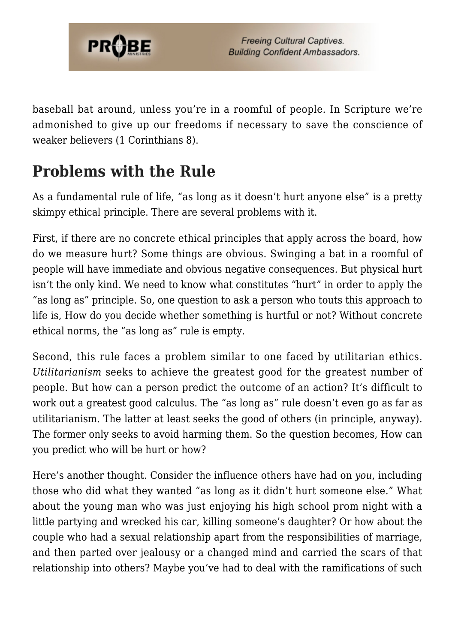

baseball bat around, unless you're in a roomful of people. In Scripture we're admonished to give up our freedoms if necessary to save the conscience of weaker believers (1 Corinthians 8).

## **Problems with the Rule**

As a fundamental rule of life, "as long as it doesn't hurt anyone else" is a pretty skimpy ethical principle. There are several problems with it.

First, if there are no concrete ethical principles that apply across the board, how do we measure hurt? Some things are obvious. Swinging a bat in a roomful of people will have immediate and obvious negative consequences. But physical hurt isn't the only kind. We need to know what constitutes "hurt" in order to apply the "as long as" principle. So, one question to ask a person who touts this approach to life is, How do you decide whether something is hurtful or not? Without concrete ethical norms, the "as long as" rule is empty.

Second, this rule faces a problem similar to one faced by utilitarian ethics. *Utilitarianism* seeks to achieve the greatest good for the greatest number of people. But how can a person predict the outcome of an action? It's difficult to work out a greatest good calculus. The "as long as" rule doesn't even go as far as utilitarianism. The latter at least seeks the good of others (in principle, anyway). The former only seeks to avoid harming them. So the question becomes, How can you predict who will be hurt or how?

Here's another thought. Consider the influence others have had on *you*, including those who did what they wanted "as long as it didn't hurt someone else." What about the young man who was just enjoying his high school prom night with a little partying and wrecked his car, killing someone's daughter? Or how about the couple who had a sexual relationship apart from the responsibilities of marriage, and then parted over jealousy or a changed mind and carried the scars of that relationship into others? Maybe you've had to deal with the ramifications of such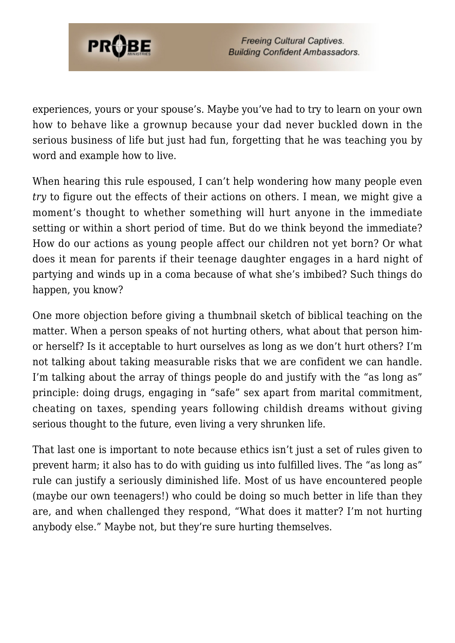

**Freeing Cultural Captives. Building Confident Ambassadors.** 

experiences, yours or your spouse's. Maybe you've had to try to learn on your own how to behave like a grownup because your dad never buckled down in the serious business of life but just had fun, forgetting that he was teaching you by word and example how to live.

When hearing this rule espoused, I can't help wondering how many people even *try* to figure out the effects of their actions on others. I mean, we might give a moment's thought to whether something will hurt anyone in the immediate setting or within a short period of time. But do we think beyond the immediate? How do our actions as young people affect our children not yet born? Or what does it mean for parents if their teenage daughter engages in a hard night of partying and winds up in a coma because of what she's imbibed? Such things do happen, you know?

One more objection before giving a thumbnail sketch of biblical teaching on the matter. When a person speaks of not hurting others, what about that person himor herself? Is it acceptable to hurt ourselves as long as we don't hurt others? I'm not talking about taking measurable risks that we are confident we can handle. I'm talking about the array of things people do and justify with the "as long as" principle: doing drugs, engaging in "safe" sex apart from marital commitment, cheating on taxes, spending years following childish dreams without giving serious thought to the future, even living a very shrunken life.

That last one is important to note because ethics isn't just a set of rules given to prevent harm; it also has to do with guiding us into fulfilled lives. The "as long as" rule can justify a seriously diminished life. Most of us have encountered people (maybe our own teenagers!) who could be doing so much better in life than they are, and when challenged they respond, "What does it matter? I'm not hurting anybody else." Maybe not, but they're sure hurting themselves.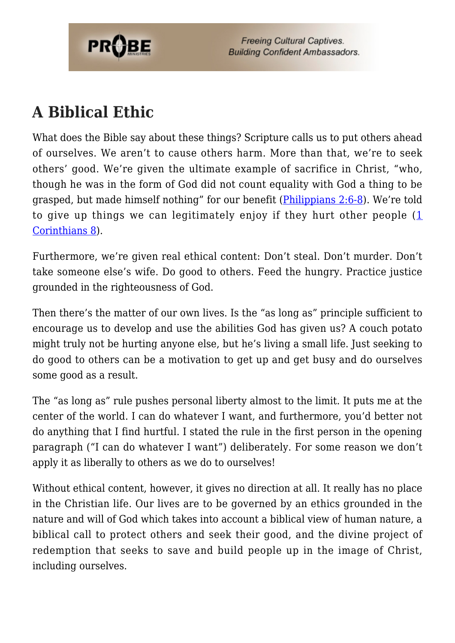

**Freeing Cultural Captives. Building Confident Ambassadors.** 

## **A Biblical Ethic**

What does the Bible say about these things? Scripture calls us to put others ahead of ourselves. We aren't to cause others harm. More than that, we're to seek others' good. We're given the ultimate example of sacrifice in Christ, "who, though he was in the form of God did not count equality with God a thing to be grasped, but made himself nothing" for our benefit [\(Philippians 2:6-8](http://www.biblegateway.com/passage/?book_id=57&chapter=2&verse=6&end_verse=8&version=31&context=context)). We're told to give up things we can legitimately enjoy if they hurt other people ([1](http://www.biblegateway.com/passage/?search=1%20Cor.%208&version=31) [Corinthians 8](http://www.biblegateway.com/passage/?search=1%20Cor.%208&version=31)).

Furthermore, we're given real ethical content: Don't steal. Don't murder. Don't take someone else's wife. Do good to others. Feed the hungry. Practice justice grounded in the righteousness of God.

Then there's the matter of our own lives. Is the "as long as" principle sufficient to encourage us to develop and use the abilities God has given us? A couch potato might truly not be hurting anyone else, but he's living a small life. Just seeking to do good to others can be a motivation to get up and get busy and do ourselves some good as a result.

The "as long as" rule pushes personal liberty almost to the limit. It puts me at the center of the world. I can do whatever I want, and furthermore, you'd better not do anything that I find hurtful. I stated the rule in the first person in the opening paragraph ("I can do whatever I want") deliberately. For some reason we don't apply it as liberally to others as we do to ourselves!

Without ethical content, however, it gives no direction at all. It really has no place in the Christian life. Our lives are to be governed by an ethics grounded in the nature and will of God which takes into account a biblical view of human nature, a biblical call to protect others and seek their good, and the divine project of redemption that seeks to save and build people up in the image of Christ, including ourselves.